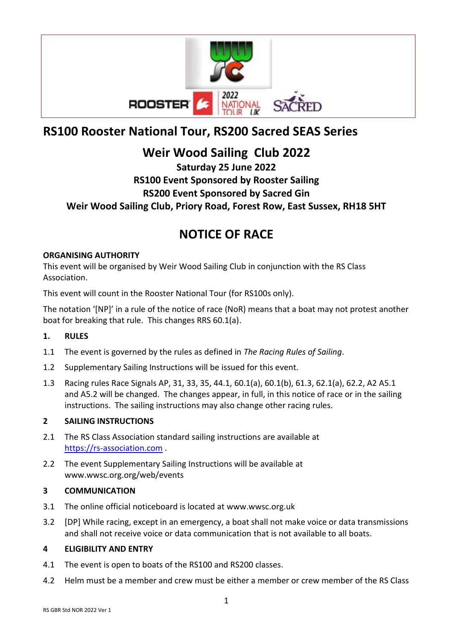

# **RS100 Rooster National Tour, RS200 Sacred SEAS Series**

## **Weir Wood Sailing Club 2022**

## **Saturday 25 June 2022 RS100 Event Sponsored by Rooster Sailing RS200 Event Sponsored by Sacred Gin Weir Wood Sailing Club, Priory Road, Forest Row, East Sussex, RH18 5HT**

## **NOTICE OF RACE**

## **ORGANISING AUTHORITY**

This event will be organised by Weir Wood Sailing Club in conjunction with the RS Class Association.

This event will count in the Rooster National Tour (for RS100s only).

The notation '[NP]' in a rule of the notice of race (NoR) means that a boat may not protest another boat for breaking that rule. This changes RRS 60.1(a).

## **1. RULES**

- 1.1 The event is governed by the rules as defined in *The Racing Rules of Sailing*.
- 1.2 Supplementary Sailing Instructions will be issued for this event.
- 1.3 Racing rules Race Signals AP, 31, 33, 35, 44.1, 60.1(a), 60.1(b), 61.3, 62.1(a), 62.2, A2 A5.1 and A5.2 will be changed. The changes appear, in full, in this notice of race or in the sailing instructions.The sailing instructions may also change other racing rules.

## **2 SAILING INSTRUCTIONS**

- 2.1 The RS Class Association standard sailing instructions are available at [https://rs-association.com](https://rs-association.com/) .
- 2.2 The event Supplementary Sailing Instructions will be available at www.wwsc.org.org/web/events

## **3 COMMUNICATION**

- 3.1 The online official noticeboard is located at www.wwsc.org.uk
- 3.2 [DP] While racing, except in an emergency, a boat shall not make voice or data transmissions and shall not receive voice or data communication that is not available to all boats.

## **4 ELIGIBILITY AND ENTRY**

- 4.1 The event is open to boats of the RS100 and RS200 classes.
- 4.2 Helm must be a member and crew must be either a member or crew member of the RS Class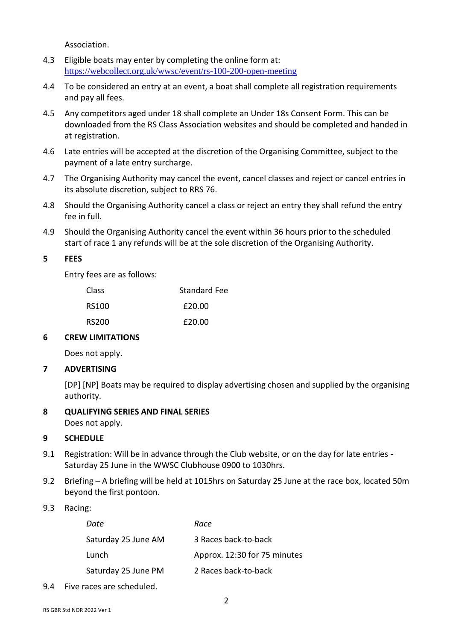Association.

- 4.3 Eligible boats may enter by completing the online form at: <https://webcollect.org.uk/wwsc/event/rs-100-200-open-meeting>
- 4.4 To be considered an entry at an event, a boat shall complete all registration requirements and pay all fees.
- 4.5 Any competitors aged under 18 shall complete an Under 18s Consent Form. This can be downloaded from the RS Class Association websites and should be completed and handed in at registration.
- 4.6 Late entries will be accepted at the discretion of the Organising Committee, subject to the payment of a late entry surcharge.
- 4.7 The Organising Authority may cancel the event, cancel classes and reject or cancel entries in its absolute discretion, subject to RRS 76.
- 4.8 Should the Organising Authority cancel a class or reject an entry they shall refund the entry fee in full.
- 4.9 Should the Organising Authority cancel the event within 36 hours prior to the scheduled start of race 1 any refunds will be at the sole discretion of the Organising Authority.

#### **5 FEES**

Entry fees are as follows:

| Class | <b>Standard Fee</b> |
|-------|---------------------|
| RS100 | £20.00              |
| RS200 | £20.00              |

#### **6 CREW LIMITATIONS**

Does not apply.

#### **7 ADVERTISING**

[DP] [NP] Boats may be required to display advertising chosen and supplied by the organising authority.

#### **8 QUALIFYING SERIES AND FINAL SERIES**

Does not apply.

#### **9 SCHEDULE**

- 9.1 Registration: Will be in advance through the Club website, or on the day for late entries Saturday 25 June in the WWSC Clubhouse 0900 to 1030hrs.
- 9.2 Briefing A briefing will be held at 1015hrs on Saturday 25 June at the race box, located 50m beyond the first pontoon.
- 9.3 Racing:

| Race                         |
|------------------------------|
| 3 Races back-to-back         |
| Approx. 12:30 for 75 minutes |
| 2 Races back-to-back         |
|                              |

9.4 Five races are scheduled.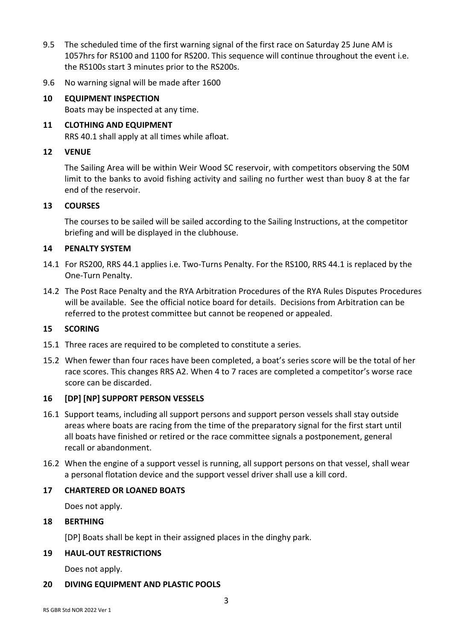- 9.5 The scheduled time of the first warning signal of the first race on Saturday 25 June AM is 1057hrs for RS100 and 1100 for RS200. This sequence will continue throughout the event i.e. the RS100s start 3 minutes prior to the RS200s.
- 9.6 No warning signal will be made after 1600
- **10 EQUIPMENT INSPECTION** Boats may be inspected at any time.
- **11 CLOTHING AND EQUIPMENT** RRS 40.1 shall apply at all times while afloat.

### **12 VENUE**

The Sailing Area will be within Weir Wood SC reservoir, with competitors observing the 50M limit to the banks to avoid fishing activity and sailing no further west than buoy 8 at the far end of the reservoir.

#### **13 COURSES**

The courses to be sailed will be sailed according to the Sailing Instructions, at the competitor briefing and will be displayed in the clubhouse.

### **14 PENALTY SYSTEM**

- 14.1 For RS200, RRS 44.1 applies i.e. Two-Turns Penalty. For the RS100, RRS 44.1 is replaced by the One-Turn Penalty.
- 14.2 The Post Race Penalty and the RYA Arbitration Procedures of the RYA Rules Disputes Procedures will be available. See the official notice board for details. Decisions from Arbitration can be referred to the protest committee but cannot be reopened or appealed.

#### **15 SCORING**

- 15.1 Three races are required to be completed to constitute a series.
- 15.2 When fewer than four races have been completed, a boat's series score will be the total of her race scores. This changes RRS A2. When 4 to 7 races are completed a competitor's worse race score can be discarded.

#### **16 [DP] [NP] SUPPORT PERSON VESSELS**

- 16.1 Support teams, including all support persons and support person vessels shall stay outside areas where boats are racing from the time of the preparatory signal for the first start until all boats have finished or retired or the race committee signals a postponement, general recall or abandonment.
- 16.2 When the engine of a support vessel is running, all support persons on that vessel, shall wear a personal flotation device and the support vessel driver shall use a kill cord.

#### **17 CHARTERED OR LOANED BOATS**

Does not apply.

#### **18 BERTHING**

[DP] Boats shall be kept in their assigned places in the dinghy park.

## **19 HAUL-OUT RESTRICTIONS**

Does not apply.

#### **20 DIVING EQUIPMENT AND PLASTIC POOLS**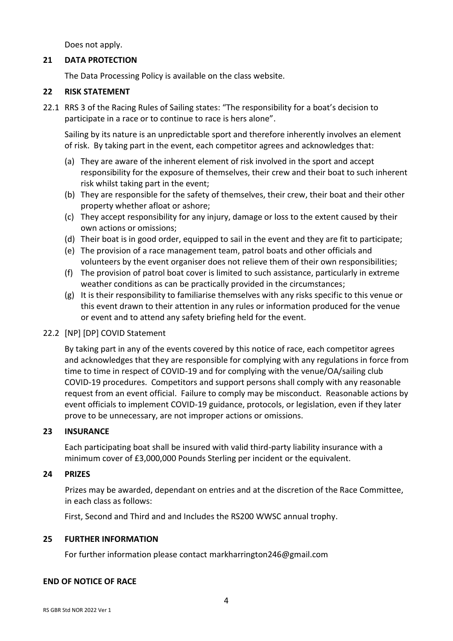Does not apply.

## **21 DATA PROTECTION**

The Data Processing Policy is available on the class website.

## **22 RISK STATEMENT**

22.1 RRS 3 of the Racing Rules of Sailing states: "The responsibility for a boat's decision to participate in a race or to continue to race is hers alone".

Sailing by its nature is an unpredictable sport and therefore inherently involves an element of risk. By taking part in the event, each competitor agrees and acknowledges that:

- (a) They are aware of the inherent element of risk involved in the sport and accept responsibility for the exposure of themselves, their crew and their boat to such inherent risk whilst taking part in the event;
- (b) They are responsible for the safety of themselves, their crew, their boat and their other property whether afloat or ashore;
- (c) They accept responsibility for any injury, damage or loss to the extent caused by their own actions or omissions;
- (d) Their boat is in good order, equipped to sail in the event and they are fit to participate;
- (e) The provision of a race management team, patrol boats and other officials and volunteers by the event organiser does not relieve them of their own responsibilities;
- (f) The provision of patrol boat cover is limited to such assistance, particularly in extreme weather conditions as can be practically provided in the circumstances;
- (g) It is their responsibility to familiarise themselves with any risks specific to this venue or this event drawn to their attention in any rules or information produced for the venue or event and to attend any safety briefing held for the event.

## 22.2 [NP] [DP] COVID Statement

By taking part in any of the events covered by this notice of race, each competitor agrees and acknowledges that they are responsible for complying with any regulations in force from time to time in respect of COVID-19 and for complying with the venue/OA/sailing club COVID-19 procedures. Competitors and support persons shall comply with any reasonable request from an event official. Failure to comply may be misconduct. Reasonable actions by event officials to implement COVID-19 guidance, protocols, or legislation, even if they later prove to be unnecessary, are not improper actions or omissions.

#### **23 INSURANCE**

Each participating boat shall be insured with valid third-party liability insurance with a minimum cover of £3,000,000 Pounds Sterling per incident or the equivalent.

## **24 PRIZES**

Prizes may be awarded, dependant on entries and at the discretion of the Race Committee, in each class as follows:

First, Second and Third and and Includes the RS200 WWSC annual trophy.

#### **25 FURTHER INFORMATION**

For further information please contact markharrington246@gmail.com

#### **END OF NOTICE OF RACE**